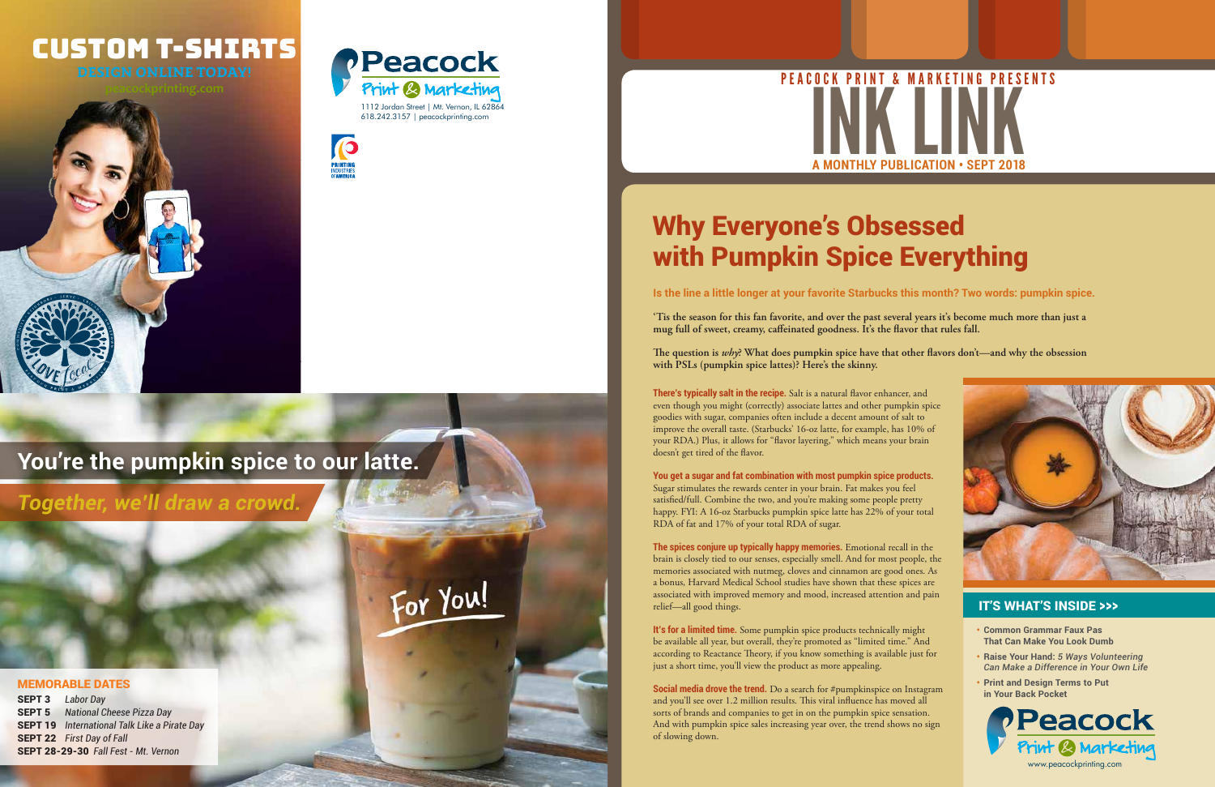

For You!



# Custom T-shirts



**Is the line a little longer at your favorite Starbucks this month? Two words: pumpkin spice.**

**'Tis the season for this fan favorite, and over the past several years it's become much more than just a mug full of sweet, creamy, caffeinated goodness. It's the flavor that rules fall.** 

**The question is** *why***? What does pumpkin spice have that other flavors don't—and why the obsession with PSLs (pumpkin spice lattes)? Here's the skinny.**

**There's typically salt in the recipe.** Salt is a natural flavor enhancer, and even though you might (correctly) associate lattes and other pumpkin spice goodies with sugar, companies often include a decent amount of salt to improve the overall taste. (Starbucks' 16-oz latte, for example, has 10% of your RDA.) Plus, it allows for "flavor layering," which means your brain doesn't get tired of the flavor.

**It's for a limited time.** Some pumpkin spice products technically might be available all year, but overall, they're promoted as "limited time." And according to Reactance Theory, if you know something is available just for just a short time, you'll view the product as more appealing.

**Social media drove the trend.** Do a search for #pumpkinspice on Instagram and you'll see over 1.2 million results. This viral influence has moved all sorts of brands and companies to get in on the pumpkin spice sensation. And with pumpkin spice sales increasing year over, the trend shows no sign of slowing down.

**You get a sugar and fat combination with most pumpkin spice products.** Sugar stimulates the rewards center in your brain. Fat makes you feel satisfied/full. Combine the two, and you're making some people pretty happy. FYI: A 16-oz Starbucks pumpkin spice latte has 22% of your total RDA of fat and 17% of your total RDA of sugar.





**The spices conjure up typically happy memories.** Emotional recall in the brain is closely tied to our senses, especially smell. And for most people, the memories associated with nutmeg, cloves and cinnamon are good ones. As a bonus, Harvard Medical School studies have shown that these spices are associated with improved memory and mood, increased attention and pain relief—all good things.

## Why Everyone's Obsessed with Pumpkin Spice Everything

- **• Common Grammar Faux Pas That Can Make You Look Dumb**
- **• Raise Your Hand:** *5 Ways Volunteering Can Make a Difference in Your Own Life*
- **• Print and Design Terms to Put in Your Back Pocket**

#### IT'S WHAT'S INSIDE >>>



## **You're the pumpkin spice to our latte.**

SEPT 3 *Labor Day* SEPT 5 *National Cheese Pizza Day* SEPT 19 *International Talk Like a Pirate Day* SEPT 22 *First Day of Fall* SEPT 28-29-30 *Fall Fest - Mt. Vernon*



#### MEMORABLE DATES

*Together, we'll draw a crowd.*